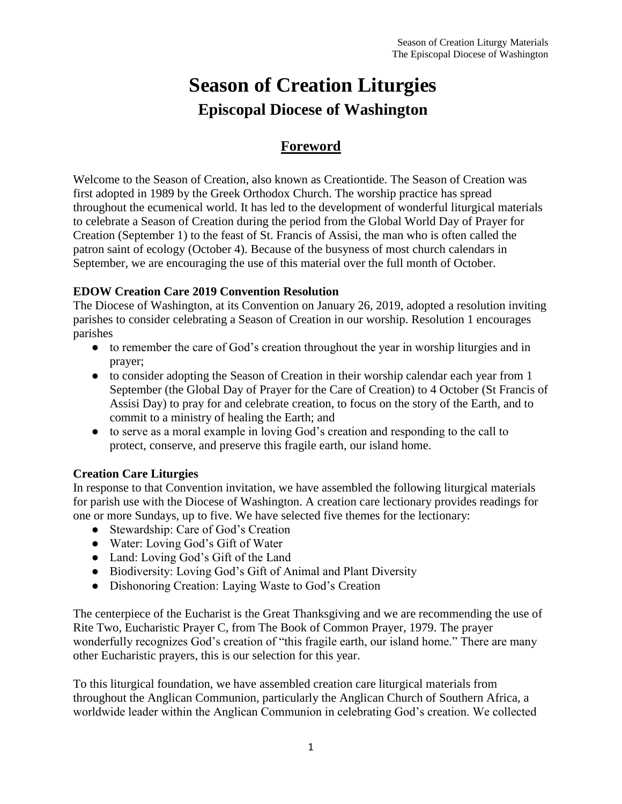# **Season of Creation Liturgies Episcopal Diocese of Washington**

#### **Foreword**

Welcome to the Season of Creation, also known as Creationtide. The Season of Creation was first adopted in 1989 by the Greek Orthodox Church. The worship practice has spread throughout the ecumenical world. It has led to the development of wonderful liturgical materials to celebrate a Season of Creation during the period from the Global World Day of Prayer for Creation (September 1) to the feast of St. Francis of Assisi, the man who is often called the patron saint of ecology (October 4). Because of the busyness of most church calendars in September, we are encouraging the use of this material over the full month of October.

#### **EDOW Creation Care 2019 Convention Resolution**

The Diocese of Washington, at its Convention on January 26, 2019, adopted a resolution inviting parishes to consider celebrating a Season of Creation in our worship. Resolution 1 encourages parishes

- to remember the care of God's creation throughout the year in worship liturgies and in prayer;
- to consider adopting the Season of Creation in their worship calendar each year from 1 September (the Global Day of Prayer for the Care of Creation) to 4 October (St Francis of Assisi Day) to pray for and celebrate creation, to focus on the story of the Earth, and to commit to a ministry of healing the Earth; and
- to serve as a moral example in loving God's creation and responding to the call to protect, conserve, and preserve this fragile earth, our island home.

#### **Creation Care Liturgies**

In response to that Convention invitation, we have assembled the following liturgical materials for parish use with the Diocese of Washington. A creation care lectionary provides readings for one or more Sundays, up to five. We have selected five themes for the lectionary:

- Stewardship: Care of God's Creation
- Water: Loving God's Gift of Water
- Land: Loving God's Gift of the Land
- Biodiversity: Loving God's Gift of Animal and Plant Diversity
- Dishonoring Creation: Laying Waste to God's Creation

The centerpiece of the Eucharist is the Great Thanksgiving and we are recommending the use of Rite Two, Eucharistic Prayer C, from The Book of Common Prayer, 1979. The prayer wonderfully recognizes God's creation of "this fragile earth, our island home." There are many other Eucharistic prayers, this is our selection for this year.

To this liturgical foundation, we have assembled creation care liturgical materials from throughout the Anglican Communion, particularly the Anglican Church of Southern Africa, a worldwide leader within the Anglican Communion in celebrating God's creation. We collected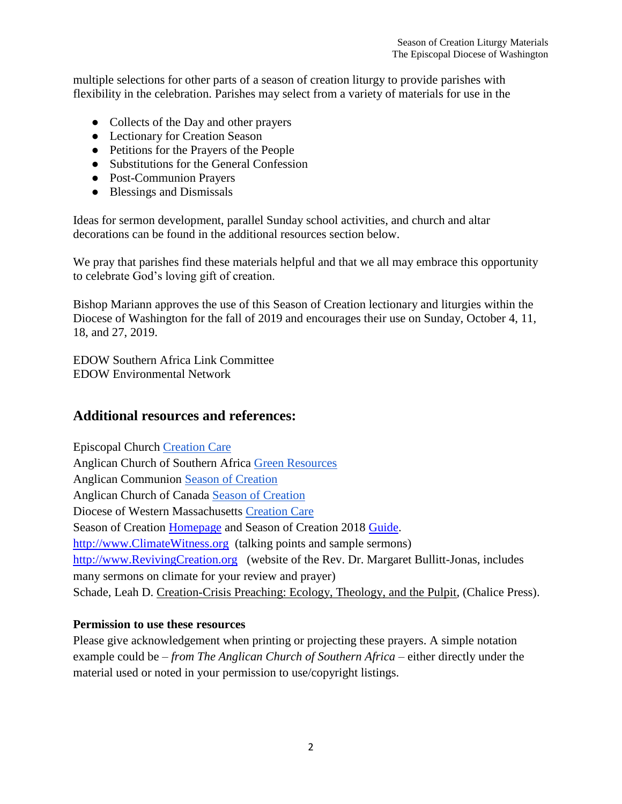multiple selections for other parts of a season of creation liturgy to provide parishes with flexibility in the celebration. Parishes may select from a variety of materials for use in the

- Collects of the Day and other prayers
- Lectionary for Creation Season
- Petitions for the Prayers of the People
- Substitutions for the General Confession
- Post-Communion Prayers
- Blessings and Dismissals

Ideas for sermon development, parallel Sunday school activities, and church and altar decorations can be found in the additional resources section below.

We pray that parishes find these materials helpful and that we all may embrace this opportunity to celebrate God's loving gift of creation.

Bishop Mariann approves the use of this Season of Creation lectionary and liturgies within the Diocese of Washington for the fall of 2019 and encourages their use on Sunday, October 4, 11, 18, and 27, 2019.

EDOW Southern Africa Link Committee EDOW Environmental Network

#### **Additional resources and references:**

Episcopal Church [Creation Care](https://www.episcopalchurch.org/creation-care) Anglican Church of Southern Africa [Green Resources](http://www.greenanglicans.org/resources)  Anglican Communion [Season of Creation](https://acen.anglicancommunion.org/resources/season-of-creation.aspx)  Anglican Church of Canada [Season of Creation](https://www.anglican.ca/resources/season-of-creation-3/) Diocese of Western Massachusetts [Creation Care](https://www.diocesewma.org/vision-ministry-statements/creation-care/season-of-creation/pray-2/) Season of Creation [Homepage](http://seasonofcreation.org/resources/denominational-resources/) and Season of Creation 2018 [Guide.](https://drive.google.com/file/d/1afPgoj9DTeAiJDRkZ1lLvqVr--qO0Hur/view) [http://www.ClimateWitness.org](http://www.climatewitness.org/) (talking points and sample sermons) [http://www.RevivingCreation.org](http://www.revivingcreation.org/) (website of the Rev. Dr. Margaret Bullitt-Jonas, includes many sermons on climate for your review and prayer) Schade, Leah D. Creation-Crisis Preaching: Ecology, Theology, and the Pulpit, (Chalice Press).

#### **Permission to use these resources**

Please give acknowledgement when printing or projecting these prayers. A simple notation example could be – *from The Anglican Church of Southern Africa* – either directly under the material used or noted in your permission to use/copyright listings.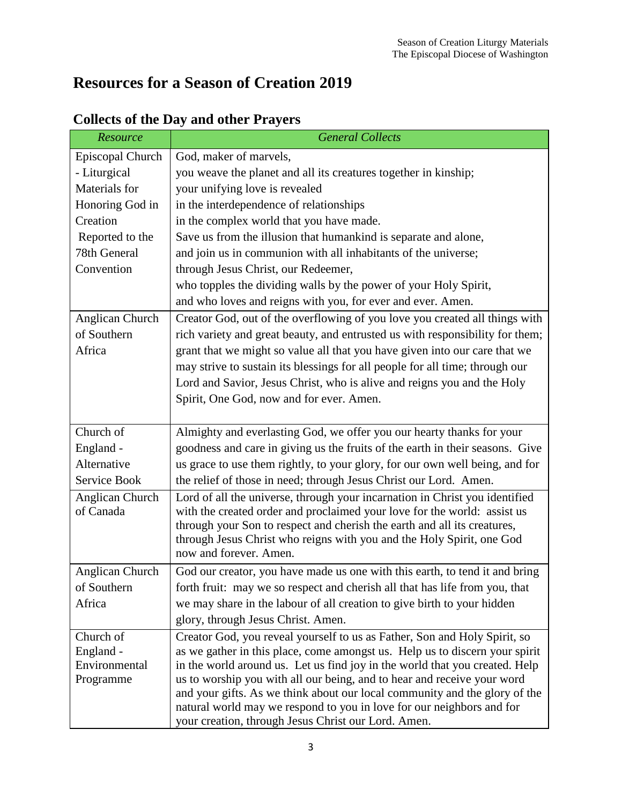# **Resources for a Season of Creation 2019**

| Resource         | <b>General Collects</b>                                                                         |  |
|------------------|-------------------------------------------------------------------------------------------------|--|
| Episcopal Church | God, maker of marvels,                                                                          |  |
| - Liturgical     | you weave the planet and all its creatures together in kinship;                                 |  |
| Materials for    | your unifying love is revealed                                                                  |  |
| Honoring God in  | in the interdependence of relationships                                                         |  |
| Creation         | in the complex world that you have made.                                                        |  |
| Reported to the  | Save us from the illusion that humankind is separate and alone,                                 |  |
| 78th General     | and join us in communion with all inhabitants of the universe;                                  |  |
| Convention       | through Jesus Christ, our Redeemer,                                                             |  |
|                  | who topples the dividing walls by the power of your Holy Spirit,                                |  |
|                  | and who loves and reigns with you, for ever and ever. Amen.                                     |  |
| Anglican Church  | Creator God, out of the overflowing of you love you created all things with                     |  |
| of Southern      | rich variety and great beauty, and entrusted us with responsibility for them;                   |  |
| Africa           | grant that we might so value all that you have given into our care that we                      |  |
|                  | may strive to sustain its blessings for all people for all time; through our                    |  |
|                  | Lord and Savior, Jesus Christ, who is alive and reigns you and the Holy                         |  |
|                  | Spirit, One God, now and for ever. Amen.                                                        |  |
|                  |                                                                                                 |  |
| Church of        | Almighty and everlasting God, we offer you our hearty thanks for your                           |  |
| England -        | goodness and care in giving us the fruits of the earth in their seasons. Give                   |  |
| Alternative      | us grace to use them rightly, to your glory, for our own well being, and for                    |  |
| Service Book     | the relief of those in need; through Jesus Christ our Lord. Amen.                               |  |
| Anglican Church  | Lord of all the universe, through your incarnation in Christ you identified                     |  |
| of Canada        | with the created order and proclaimed your love for the world: assist us                        |  |
|                  | through your Son to respect and cherish the earth and all its creatures,                        |  |
|                  | through Jesus Christ who reigns with you and the Holy Spirit, one God<br>now and forever. Amen. |  |
| Anglican Church  | God our creator, you have made us one with this earth, to tend it and bring                     |  |
| of Southern      | forth fruit: may we so respect and cherish all that has life from you, that                     |  |
| Africa           | we may share in the labour of all creation to give birth to your hidden                         |  |
|                  | glory, through Jesus Christ. Amen.                                                              |  |
| Church of        | Creator God, you reveal yourself to us as Father, Son and Holy Spirit, so                       |  |
| England -        | as we gather in this place, come amongst us. Help us to discern your spirit                     |  |
| Environmental    | in the world around us. Let us find joy in the world that you created. Help                     |  |
| Programme        | us to worship you with all our being, and to hear and receive your word                         |  |
|                  | and your gifts. As we think about our local community and the glory of the                      |  |
|                  | natural world may we respond to you in love for our neighbors and for                           |  |
|                  | your creation, through Jesus Christ our Lord. Amen.                                             |  |

### **Collects of the Day and other Prayers**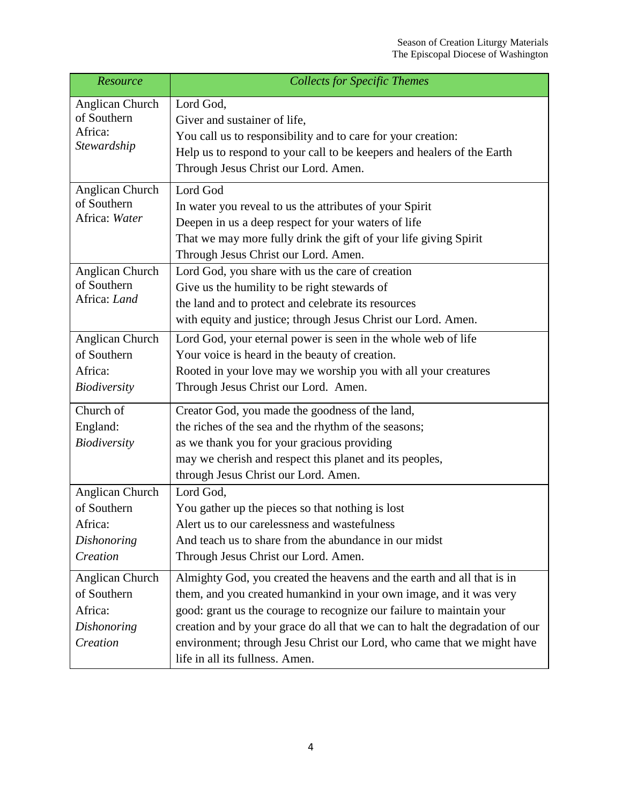| Resource                                                             | <b>Collects for Specific Themes</b>                                                                                                                                                                                                                                                                                                                                                                               |
|----------------------------------------------------------------------|-------------------------------------------------------------------------------------------------------------------------------------------------------------------------------------------------------------------------------------------------------------------------------------------------------------------------------------------------------------------------------------------------------------------|
| Anglican Church<br>of Southern<br>Africa:<br>Stewardship             | Lord God,<br>Giver and sustainer of life,<br>You call us to responsibility and to care for your creation:<br>Help us to respond to your call to be keepers and healers of the Earth<br>Through Jesus Christ our Lord. Amen.                                                                                                                                                                                       |
| Anglican Church<br>of Southern<br>Africa: Water                      | Lord God<br>In water you reveal to us the attributes of your Spirit<br>Deepen in us a deep respect for your waters of life<br>That we may more fully drink the gift of your life giving Spirit<br>Through Jesus Christ our Lord. Amen.                                                                                                                                                                            |
| Anglican Church<br>of Southern<br>Africa: Land                       | Lord God, you share with us the care of creation<br>Give us the humility to be right stewards of<br>the land and to protect and celebrate its resources<br>with equity and justice; through Jesus Christ our Lord. Amen.                                                                                                                                                                                          |
| Anglican Church<br>of Southern<br>Africa:<br><b>Biodiversity</b>     | Lord God, your eternal power is seen in the whole web of life<br>Your voice is heard in the beauty of creation.<br>Rooted in your love may we worship you with all your creatures<br>Through Jesus Christ our Lord. Amen.                                                                                                                                                                                         |
| Church of<br>England:<br>Biodiversity                                | Creator God, you made the goodness of the land,<br>the riches of the sea and the rhythm of the seasons;<br>as we thank you for your gracious providing<br>may we cherish and respect this planet and its peoples,<br>through Jesus Christ our Lord. Amen.                                                                                                                                                         |
| Anglican Church<br>of Southern<br>Africa:<br>Dishonoring<br>Creation | Lord God,<br>You gather up the pieces so that nothing is lost<br>Alert us to our carelessness and wastefulness<br>And teach us to share from the abundance in our midst<br>Through Jesus Christ our Lord. Amen.                                                                                                                                                                                                   |
| Anglican Church<br>of Southern<br>Africa:<br>Dishonoring<br>Creation | Almighty God, you created the heavens and the earth and all that is in<br>them, and you created humankind in your own image, and it was very<br>good: grant us the courage to recognize our failure to maintain your<br>creation and by your grace do all that we can to halt the degradation of our<br>environment; through Jesu Christ our Lord, who came that we might have<br>life in all its fullness. Amen. |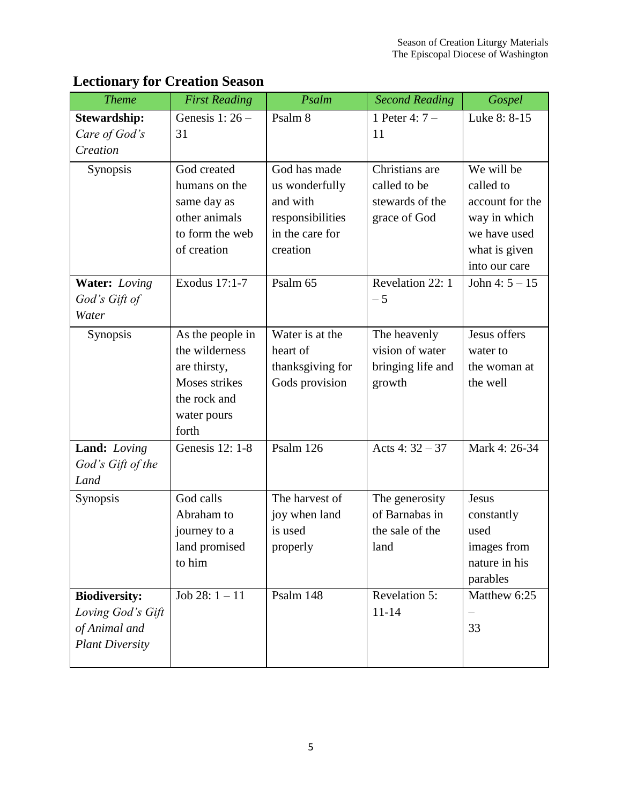| <b>Theme</b>           | <b>First Reading</b> | Psalm            | <b>Second Reading</b> | Gospel           |
|------------------------|----------------------|------------------|-----------------------|------------------|
| <b>Stewardship:</b>    | Genesis $1:26-$      | Psalm 8          | 1 Peter 4: $7 -$      | Luke 8: 8-15     |
| Care of God's          | 31                   |                  | 11                    |                  |
| Creation               |                      |                  |                       |                  |
| Synopsis               | God created          | God has made     | Christians are        | We will be       |
|                        | humans on the        | us wonderfully   | called to be          | called to        |
|                        | same day as          | and with         | stewards of the       | account for the  |
|                        | other animals        | responsibilities | grace of God          | way in which     |
|                        | to form the web      | in the care for  |                       | we have used     |
|                        | of creation          | creation         |                       | what is given    |
|                        |                      |                  |                       | into our care    |
| <b>Water:</b> Loving   | Exodus 17:1-7        | Psalm 65         | Revelation 22: 1      | John 4: $5 - 15$ |
| God's Gift of          |                      |                  | $-5$                  |                  |
| Water                  |                      |                  |                       |                  |
| Synopsis               | As the people in     | Water is at the  | The heavenly          | Jesus offers     |
|                        | the wilderness       | heart of         | vision of water       | water to         |
|                        | are thirsty,         | thanksgiving for | bringing life and     | the woman at     |
|                        | Moses strikes        | Gods provision   | growth                | the well         |
|                        | the rock and         |                  |                       |                  |
|                        | water pours          |                  |                       |                  |
|                        | forth                |                  |                       |                  |
| Land: Loving           | Genesis 12: 1-8      | Psalm 126        | Acts 4: $32 - 37$     | Mark 4: 26-34    |
| God's Gift of the      |                      |                  |                       |                  |
| Land                   |                      |                  |                       |                  |
| Synopsis               | God calls            | The harvest of   | The generosity        | Jesus            |
|                        | Abraham to           | joy when land    | of Barnabas in        | constantly       |
|                        | journey to a         | is used          | the sale of the       | used             |
|                        | land promised        | properly         | land                  | images from      |
|                        | to him               |                  |                       | nature in his    |
|                        |                      |                  |                       | parables         |
| <b>Biodiversity:</b>   | Job 28: $1 - 11$     | Psalm 148        | Revelation 5:         | Matthew 6:25     |
| Loving God's Gift      |                      |                  | $11 - 14$             | —                |
| of Animal and          |                      |                  |                       | 33               |
| <b>Plant Diversity</b> |                      |                  |                       |                  |
|                        |                      |                  |                       |                  |

### **Lectionary for Creation Season**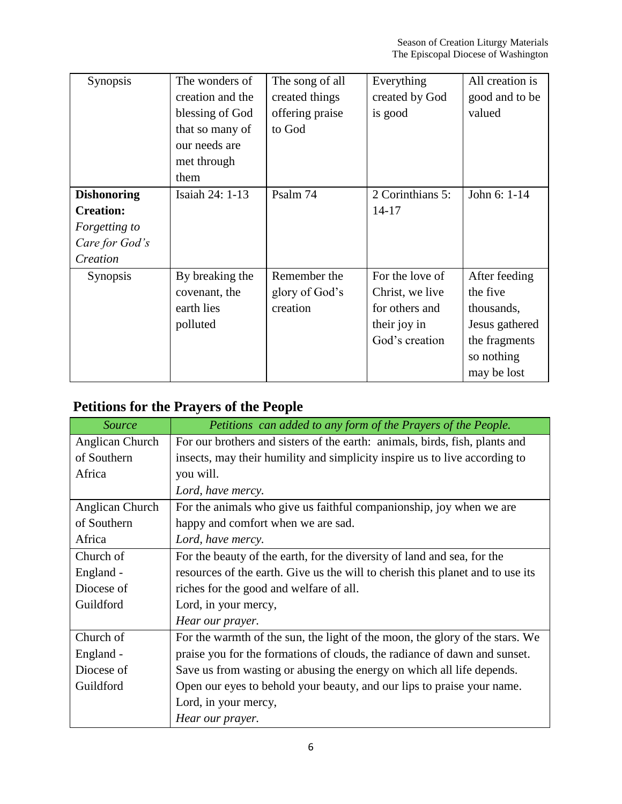| Synopsis                                                                              | The wonders of<br>creation and the<br>blessing of God<br>that so many of<br>our needs are<br>met through<br>them | The song of all<br>created things<br>offering praise<br>to God | Everything<br>created by God<br>is good                                                | All creation is<br>good and to be<br>valued                                                             |
|---------------------------------------------------------------------------------------|------------------------------------------------------------------------------------------------------------------|----------------------------------------------------------------|----------------------------------------------------------------------------------------|---------------------------------------------------------------------------------------------------------|
| <b>Dishonoring</b><br><b>Creation:</b><br>Forgetting to<br>Care for God's<br>Creation | Isaiah 24: 1-13                                                                                                  | Psalm 74                                                       | 2 Corinthians 5:<br>$14 - 17$                                                          | John 6: 1-14                                                                                            |
| <b>Synopsis</b>                                                                       | By breaking the<br>covenant, the<br>earth lies<br>polluted                                                       | Remember the<br>glory of God's<br>creation                     | For the love of<br>Christ, we live<br>for others and<br>their joy in<br>God's creation | After feeding<br>the five<br>thousands,<br>Jesus gathered<br>the fragments<br>so nothing<br>may be lost |

### **Petitions for the Prayers of the People**

| <b>Source</b>   | Petitions can added to any form of the Prayers of the People.                  |  |
|-----------------|--------------------------------------------------------------------------------|--|
| Anglican Church | For our brothers and sisters of the earth: animals, birds, fish, plants and    |  |
| of Southern     | insects, may their humility and simplicity inspire us to live according to     |  |
| Africa          | you will.                                                                      |  |
|                 | Lord, have mercy.                                                              |  |
| Anglican Church | For the animals who give us faithful companionship, joy when we are            |  |
| of Southern     | happy and comfort when we are sad.                                             |  |
| Africa          | Lord, have mercy.                                                              |  |
| Church of       | For the beauty of the earth, for the diversity of land and sea, for the        |  |
| England -       | resources of the earth. Give us the will to cherish this planet and to use its |  |
| Diocese of      | riches for the good and welfare of all.                                        |  |
| Guildford       | Lord, in your mercy,                                                           |  |
|                 | Hear our prayer.                                                               |  |
| Church of       | For the warmth of the sun, the light of the moon, the glory of the stars. We   |  |
| England -       | praise you for the formations of clouds, the radiance of dawn and sunset.      |  |
| Diocese of      | Save us from wasting or abusing the energy on which all life depends.          |  |
| Guildford       | Open our eyes to behold your beauty, and our lips to praise your name.         |  |
|                 | Lord, in your mercy,                                                           |  |
|                 | Hear our prayer.                                                               |  |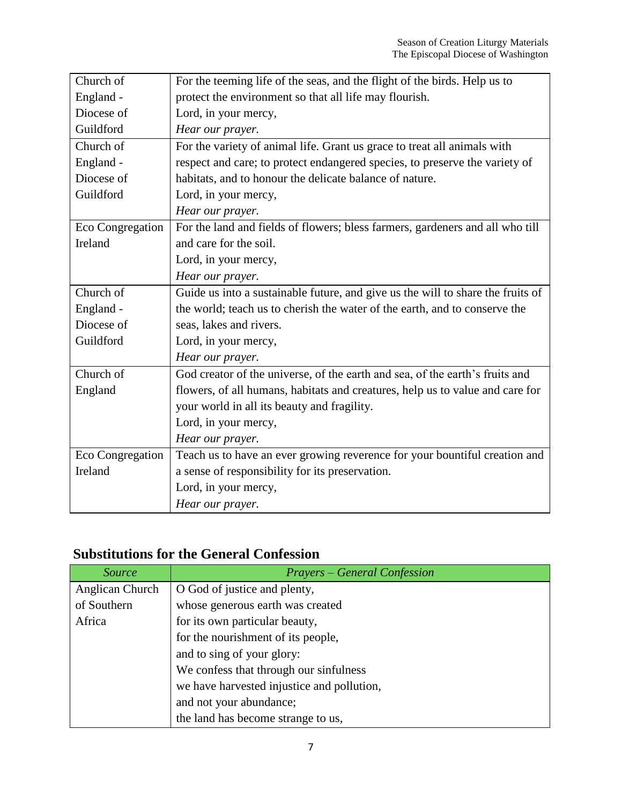| Church of        | For the teeming life of the seas, and the flight of the birds. Help us to       |
|------------------|---------------------------------------------------------------------------------|
| England -        | protect the environment so that all life may flourish.                          |
| Diocese of       | Lord, in your mercy,                                                            |
| Guildford        | Hear our prayer.                                                                |
| Church of        | For the variety of animal life. Grant us grace to treat all animals with        |
| England -        | respect and care; to protect endangered species, to preserve the variety of     |
| Diocese of       | habitats, and to honour the delicate balance of nature.                         |
| Guildford        | Lord, in your mercy,                                                            |
|                  | Hear our prayer.                                                                |
| Eco Congregation | For the land and fields of flowers; bless farmers, gardeners and all who till   |
| Ireland          | and care for the soil.                                                          |
|                  | Lord, in your mercy,                                                            |
|                  | Hear our prayer.                                                                |
| Church of        | Guide us into a sustainable future, and give us the will to share the fruits of |
| England -        | the world; teach us to cherish the water of the earth, and to conserve the      |
| Diocese of       | seas, lakes and rivers.                                                         |
| Guildford        | Lord, in your mercy,                                                            |
|                  | Hear our prayer.                                                                |
| Church of        | God creator of the universe, of the earth and sea, of the earth's fruits and    |
| England          | flowers, of all humans, habitats and creatures, help us to value and care for   |
|                  | your world in all its beauty and fragility.                                     |
|                  | Lord, in your mercy,                                                            |
|                  | Hear our prayer.                                                                |
| Eco Congregation | Teach us to have an ever growing reverence for your bountiful creation and      |
| Ireland          | a sense of responsibility for its preservation.                                 |
|                  | Lord, in your mercy,                                                            |
|                  | Hear our prayer.                                                                |

### **Substitutions for the General Confession**

| <i>Source</i>   | <b>Prayers – General Confession</b>        |
|-----------------|--------------------------------------------|
| Anglican Church | O God of justice and plenty,               |
| of Southern     | whose generous earth was created           |
| Africa          | for its own particular beauty,             |
|                 | for the nourishment of its people,         |
|                 | and to sing of your glory:                 |
|                 | We confess that through our sinfulness     |
|                 | we have harvested injustice and pollution, |
|                 | and not your abundance;                    |
|                 | the land has become strange to us,         |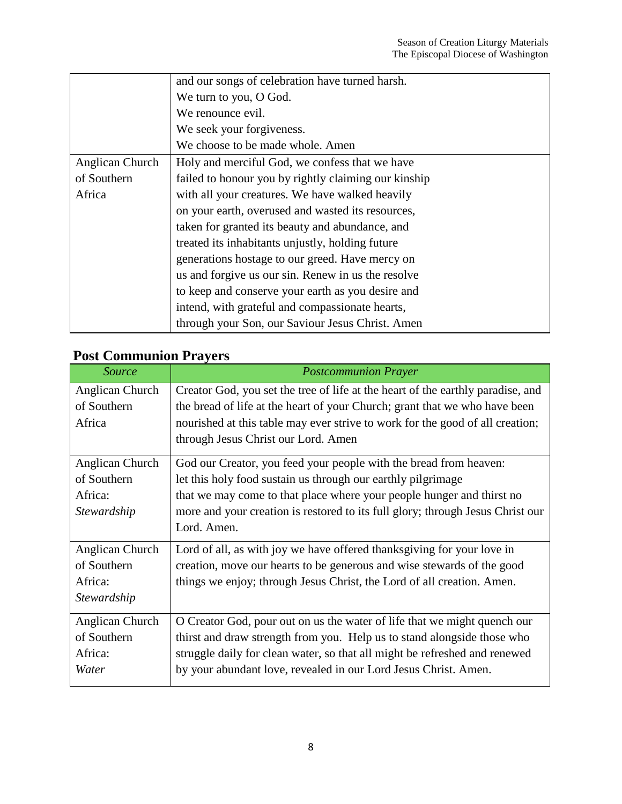|                 | and our songs of celebration have turned harsh.      |  |
|-----------------|------------------------------------------------------|--|
|                 | We turn to you, O God.                               |  |
|                 | We renounce evil.                                    |  |
|                 | We seek your forgiveness.                            |  |
|                 | We choose to be made whole. Amen                     |  |
| Anglican Church | Holy and merciful God, we confess that we have       |  |
| of Southern     | failed to honour you by rightly claiming our kinship |  |
| Africa          | with all your creatures. We have walked heavily      |  |
|                 | on your earth, overused and wasted its resources,    |  |
|                 | taken for granted its beauty and abundance, and      |  |
|                 | treated its inhabitants unjustly, holding future     |  |
|                 | generations hostage to our greed. Have mercy on      |  |
|                 | us and forgive us our sin. Renew in us the resolve   |  |
|                 | to keep and conserve your earth as you desire and    |  |
|                 | intend, with grateful and compassionate hearts,      |  |
|                 | through your Son, our Saviour Jesus Christ. Amen     |  |

### **Post Communion Prayers**

| Source          | <b>Postcommunion Prayer</b>                                                     |
|-----------------|---------------------------------------------------------------------------------|
| Anglican Church | Creator God, you set the tree of life at the heart of the earthly paradise, and |
| of Southern     | the bread of life at the heart of your Church; grant that we who have been      |
| Africa          | nourished at this table may ever strive to work for the good of all creation;   |
|                 | through Jesus Christ our Lord. Amen                                             |
| Anglican Church | God our Creator, you feed your people with the bread from heaven:               |
| of Southern     | let this holy food sustain us through our earthly pilgrimage                    |
| Africa:         | that we may come to that place where your people hunger and thirst no           |
| Stewardship     | more and your creation is restored to its full glory; through Jesus Christ our  |
|                 | Lord. Amen.                                                                     |
| Anglican Church | Lord of all, as with joy we have offered thanks giving for your love in         |
| of Southern     | creation, move our hearts to be generous and wise stewards of the good          |
| Africa:         | things we enjoy; through Jesus Christ, the Lord of all creation. Amen.          |
| Stewardship     |                                                                                 |
| Anglican Church | O Creator God, pour out on us the water of life that we might quench our        |
| of Southern     | thirst and draw strength from you. Help us to stand alongside those who         |
| Africa:         | struggle daily for clean water, so that all might be refreshed and renewed      |
| Water           | by your abundant love, revealed in our Lord Jesus Christ. Amen.                 |